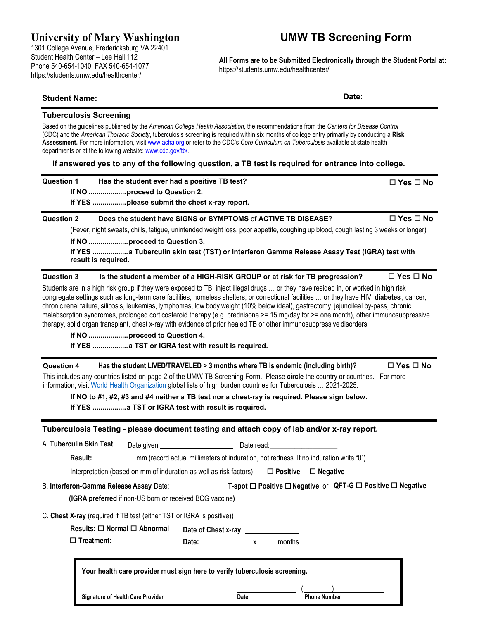## **University of Mary Washington**

1301 College Avenue, Fredericksburg VA 22401 Student Health Center – Lee Hall 112 Phone 540-654-1040, FAX 540-654-1077 https://students.umw.edu/healthcenter/

# **UMW TB Screening Form**

**All Forms are to be Submitted Electronically through the Student Portal at:** https://students.umw.edu/healthcenter/

### **Student Name: Date:**

#### **Tuberculosis Screening**

Based on the guidelines published by the *American College Health Association*, the recommendations from the *Centers for Disease Control*  (CDC) and the *American Thoracic Society*, tuberculosis screening is required within six months of college entry primarily by conducting a **Risk Assessment.** For more information, visi[t www.acha.org](http://www.acha.org/) or refer to the CDC's *Core Curriculum on Tuberculosis* available at state health departments or at the following website: [www.cdc.gov/tb/.](http://www.cdc.gov/tb/)

**If answered yes to any of the following question, a TB test is required for entrance into college.**

| <b>Question 1</b> | Has the student ever had a positive TB test?                                                                                                                                                                                                                                                                                                                                                                                                                                                                                                                                                                                                                                                                                                                         | $\Box$ Yes $\Box$ No |
|-------------------|----------------------------------------------------------------------------------------------------------------------------------------------------------------------------------------------------------------------------------------------------------------------------------------------------------------------------------------------------------------------------------------------------------------------------------------------------------------------------------------------------------------------------------------------------------------------------------------------------------------------------------------------------------------------------------------------------------------------------------------------------------------------|----------------------|
| <b>Question 2</b> | Does the student have SIGNS or SYMPTOMS of ACTIVE TB DISEASE?<br>(Fever, night sweats, chills, fatigue, unintended weight loss, poor appetite, coughing up blood, cough lasting 3 weeks or longer)<br>If YES a Tuberculin skin test (TST) or Interferon Gamma Release Assay Test (IGRA) test with<br>result is required.                                                                                                                                                                                                                                                                                                                                                                                                                                             | $\Box$ Yes $\Box$ No |
| <b>Question 3</b> | Is the student a member of a HIGH-RISK GROUP or at risk for TB progression?<br>Students are in a high risk group if they were exposed to TB, inject illegal drugs  or they have resided in, or worked in high risk<br>congregate settings such as long-term care facilities, homeless shelters, or correctional facilities  or they have HIV, diabetes, cancer,<br>chronic renal failure, silicosis, leukemias, lymphomas, low body weight (10% below ideal), gastrectomy, jejunoileal by-pass, chronic<br>malabsorption syndromes, prolonged corticosteroid therapy (e.g. prednisone >= 15 mg/day for >= one month), other immunosuppressive<br>therapy, solid organ transplant, chest x-ray with evidence of prior healed TB or other immunosuppressive disorders. | $\Box$ Yes $\Box$ No |

**Question 4 Has the student LIVED/TRAVELED > 3 months where TB is endemic (including birth)? Yes No** This includes any countries listed on page 2 of the UMW TB Screening Form. Please **circle** the country or countries. For more information, visit [World Health Organization](https://cdn.who.int/media/docs/default-source/hq-tuberculosis/who_globalhbcliststb_2021-2025_backgrounddocument.pdf?sfvrsn=f6b854c2_9) global lists of high burden countries for Tuberculosis … 2021-2025.

**If NO to #1, #2, #3 and #4 neither a TB test nor a chest-ray is required. Please sign below. If YES .................a TST or IGRA test with result is required.**

#### **Tuberculosis Testing - please document testing and attach copy of lab and/or x-ray report.**

**Signature of Health Care Provider Date Phone Number**

A. **Tuberculin Skin Test** Date given: Date read: Date read: **Result:** mm (record actual millimeters of induration, not redness. If no induration write "0") Interpretation (based on mm of induration as well as risk factors)  $\Box$  **Positive**  $\Box$  **Negative** B. **Interferon-Gamma ReleaseAssay** Date: **T-spot Positive Negative** or **QFT-G Positive Negative** C. **Chest X-ray** (required if TB test (either TST or IGRA is positive)) **Results:** □ Normal □ Abnormal **Treatment: Date of Chest x-ray**: **Date:** x months **Your health care provider must sign here to verify tuberculosis screening.**  $\qquad \qquad$ **(IGRA preferred** if non-US born or received BCG vaccine**)**